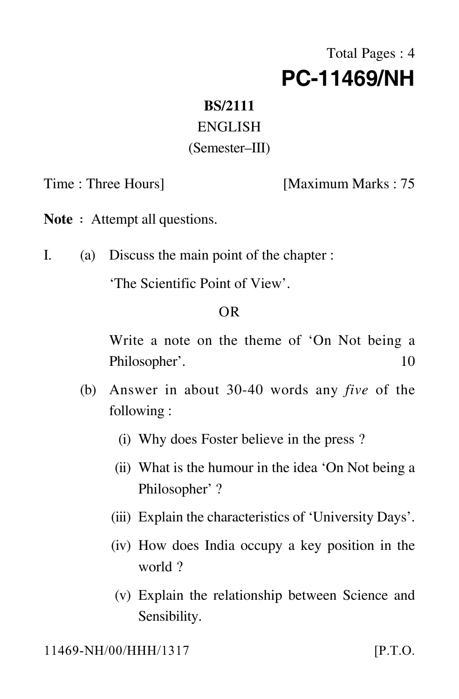# Total Pages : 4 **PC-11469/NH**

#### **BS/2111**

## ENGLISH

#### (Semester–III)

Time : Three Hours] [Maximum Marks : 75

**Note**: Attempt all questions.

I. (a) Discuss the main point of the chapter :

'The Scientific Point of View'.

## OR

Write a note on the theme of 'On Not being a Philosopher'. 10

- (b) Answer in about 30-40 words any *five* of the following :
	- (i) Why does Foster believe in the press ?
	- (ii) What is the humour in the idea 'On Not being a Philosopher' ?
	- (iii) Explain the characteristics of 'University Days'.
	- (iv) How does India occupy a key position in the world ?
	- (v) Explain the relationship between Science and Sensibility.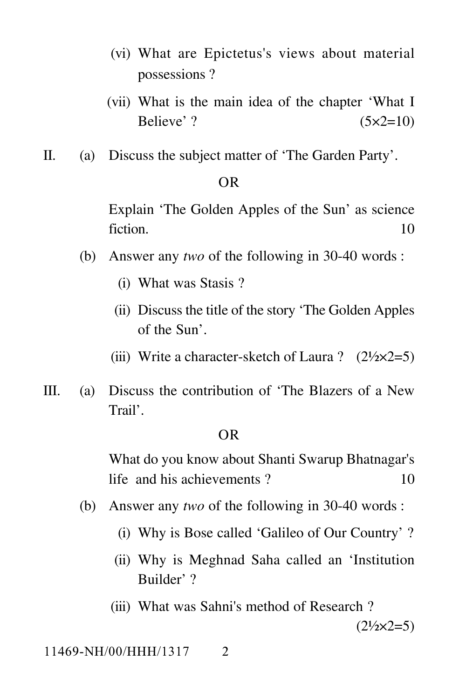- (vi) What are Epictetus's views about material possessions ?
- (vii) What is the main idea of the chapter 'What I Believe' ?  $(5 \times 2=10)$
- II. (a) Discuss the subject matter of 'The Garden Party'.

#### OR

Explain 'The Golden Apples of the Sun' as science fiction. 10

- (b) Answer any *two* of the following in 30-40 words :
	- (i) What was Stasis ?
	- (ii) Discuss the title of the story 'The Golden Apples of the Sun'.
	- (iii) Write a character-sketch of Laura ?  $(2\frac{1}{2} \times 2=5)$
- III. (a) Discuss the contribution of 'The Blazers of a New Trail'.

#### OR

What do you know about Shanti Swarup Bhatnagar's life and his achievements ? 10

- (b) Answer any *two* of the following in 30-40 words :
	- (i) Why is Bose called 'Galileo of Our Country' ?
	- (ii) Why is Meghnad Saha called an 'Institution Builder' ?
	- (iii) What was Sahni's method of Research ?

 $(2\frac{1}{2} \times 2 = 5)$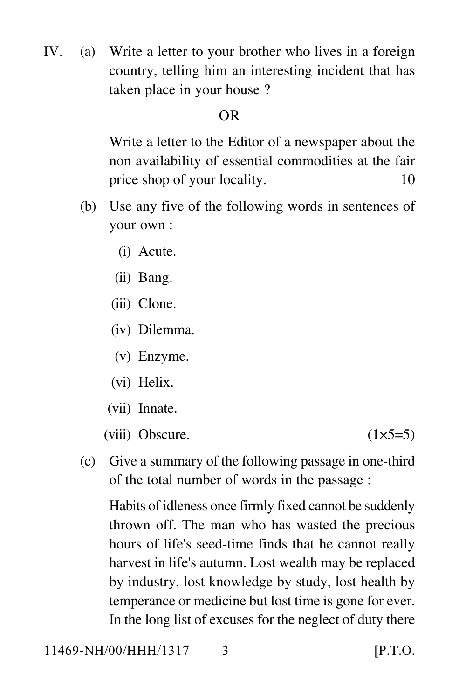IV. (a) Write a letter to your brother who lives in a foreign country, telling him an interesting incident that has taken place in your house ?

# OR

Write a letter to the Editor of a newspaper about the non availability of essential commodities at the fair price shop of your locality. 10

- (b) Use any five of the following words in sentences of your own :
	- (i) Acute.
	- (ii) Bang.
	- (iii) Clone.
	- (iv) Dilemma.
	- (v) Enzyme.
	- (vi) Helix.
	- (vii) Innate.
	- (viii) Obscure.  $(1\times5=5)$

(c) Give a summary of the following passage in one-third of the total number of words in the passage :

Habits of idleness once firmly fixed cannot be suddenly thrown off. The man who has wasted the precious hours of life's seed-time finds that he cannot really harvest in life's autumn. Lost wealth may be replaced by industry, lost knowledge by study, lost health by temperance or medicine but lost time is gone for ever. In the long list of excuses for the neglect of duty there